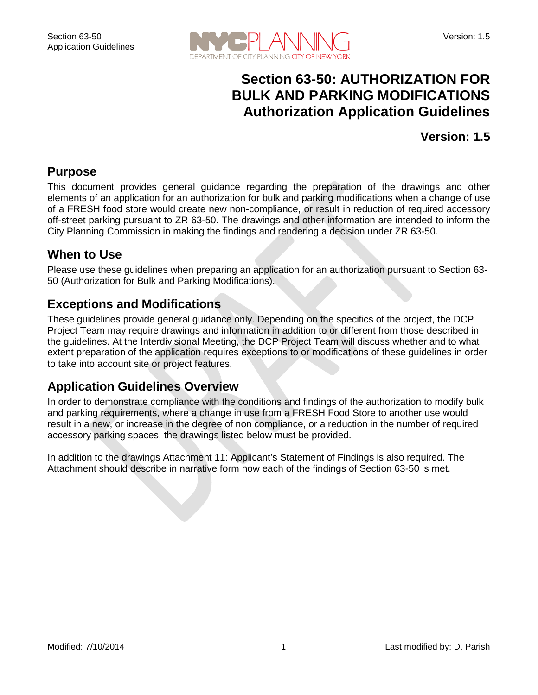

## **Section 63-50: AUTHORIZATION FOR BULK AND PARKING MODIFICATIONS Authorization Application Guidelines**

#### **Version: 1.5**

#### **Purpose**

This document provides general guidance regarding the preparation of the drawings and other elements of an application for an authorization for bulk and parking modifications when a change of use of a FRESH food store would create new non-compliance, or result in reduction of required accessory off-street parking pursuant to ZR 63-50. The drawings and other information are intended to inform the City Planning Commission in making the findings and rendering a decision under ZR 63-50.

#### **When to Use**

Please use these guidelines when preparing an application for an authorization pursuant to Section 63- 50 (Authorization for Bulk and Parking Modifications).

#### **Exceptions and Modifications**

These guidelines provide general guidance only. Depending on the specifics of the project, the DCP Project Team may require drawings and information in addition to or different from those described in the guidelines. At the Interdivisional Meeting, the DCP Project Team will discuss whether and to what extent preparation of the application requires exceptions to or modifications of these guidelines in order to take into account site or project features.

#### **Application Guidelines Overview**

In order to demonstrate compliance with the conditions and findings of the authorization to modify bulk and parking requirements, where a change in use from a FRESH Food Store to another use would result in a new, or increase in the degree of non compliance, or a reduction in the number of required accessory parking spaces, the drawings listed below must be provided.

In addition to the drawings Attachment 11: Applicant's Statement of Findings is also required. The Attachment should describe in narrative form how each of the findings of Section 63-50 is met.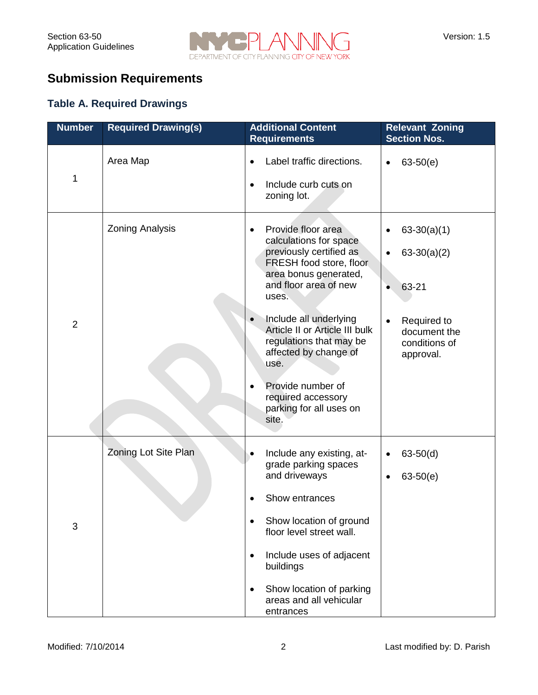

# **Submission Requirements**

#### **Table A. Required Drawings**

| <b>Number</b>  | <b>Required Drawing(s)</b> | <b>Additional Content</b><br><b>Requirements</b>                                                                                                                                                                                                                                                                                                                                               | <b>Relevant Zoning</b><br><b>Section Nos.</b>                                                                     |
|----------------|----------------------------|------------------------------------------------------------------------------------------------------------------------------------------------------------------------------------------------------------------------------------------------------------------------------------------------------------------------------------------------------------------------------------------------|-------------------------------------------------------------------------------------------------------------------|
| 1              | Area Map                   | Label traffic directions.<br>Include curb cuts on<br>zoning lot.                                                                                                                                                                                                                                                                                                                               | $63-50(e)$<br>$\bullet$                                                                                           |
| $\overline{2}$ | <b>Zoning Analysis</b>     | Provide floor area<br>$\bullet$<br>calculations for space<br>previously certified as<br>FRESH food store, floor<br>area bonus generated,<br>and floor area of new<br>uses.<br>Include all underlying<br>Article II or Article III bulk<br>regulations that may be<br>affected by change of<br>use.<br>Provide number of<br>$\bullet$<br>required accessory<br>parking for all uses on<br>site. | $63-30(a)(1)$<br>$63-30(a)(2)$<br>63-21<br>$\bullet$<br>Required to<br>document the<br>conditions of<br>approval. |
| 3              | Zoning Lot Site Plan       | Include any existing, at-<br>grade parking spaces<br>and driveways<br>Show entrances<br>Show location of ground<br>floor level street wall.<br>Include uses of adjacent<br>$\bullet$<br>buildings<br>Show location of parking<br>areas and all vehicular<br>entrances                                                                                                                          | $63-50(d)$<br>$63-50(e)$<br>$\bullet$                                                                             |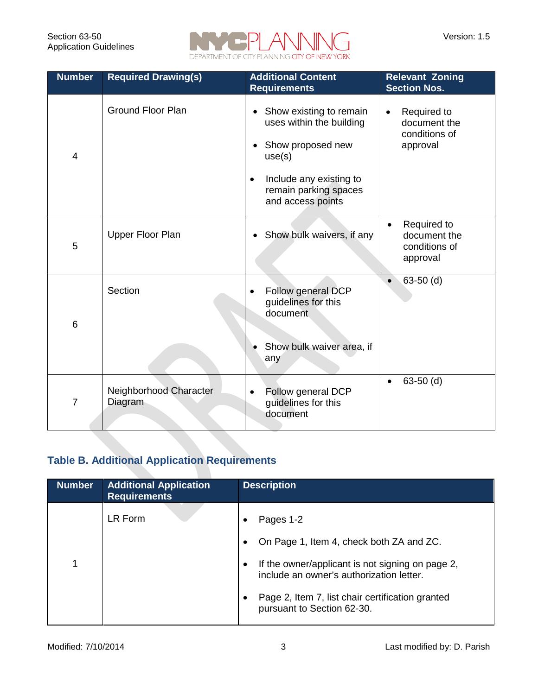

| <b>Number</b>   | <b>Required Drawing(s)</b>                                                                                                                                                                                        | <b>Additional Content</b><br><b>Requirements</b>                                          | <b>Relevant Zoning</b><br><b>Section Nos.</b>                         |
|-----------------|-------------------------------------------------------------------------------------------------------------------------------------------------------------------------------------------------------------------|-------------------------------------------------------------------------------------------|-----------------------------------------------------------------------|
| $\overline{4}$  | <b>Ground Floor Plan</b><br>Show existing to remain<br>$\bullet$<br>uses within the building<br>Show proposed new<br>use(s)<br>Include any existing to<br>$\bullet$<br>remain parking spaces<br>and access points |                                                                                           | Required to<br>$\bullet$<br>document the<br>conditions of<br>approval |
| 5               | <b>Upper Floor Plan</b>                                                                                                                                                                                           | Show bulk waivers, if any                                                                 | Required to<br>$\bullet$<br>document the<br>conditions of<br>approval |
| $6\phantom{1}6$ | Section                                                                                                                                                                                                           | Follow general DCP<br>guidelines for this<br>document<br>Show bulk waiver area, if<br>any | $63-50$ (d)                                                           |
| $\overline{7}$  | Neighborhood Character<br>Diagram                                                                                                                                                                                 | Follow general DCP<br>$\bullet$<br>guidelines for this<br>document                        | $63-50$ (d)                                                           |

### **Table B. Additional Application Requirements**

| <b>Number</b> | <b>Additional Application</b><br><b>Requirements</b> | <b>Description</b>                                                                           |
|---------------|------------------------------------------------------|----------------------------------------------------------------------------------------------|
|               | LR Form                                              | Pages 1-2                                                                                    |
|               |                                                      | On Page 1, Item 4, check both ZA and ZC.                                                     |
| 1             |                                                      | If the owner/applicant is not signing on page 2,<br>include an owner's authorization letter. |
|               |                                                      | Page 2, Item 7, list chair certification granted<br>pursuant to Section 62-30.               |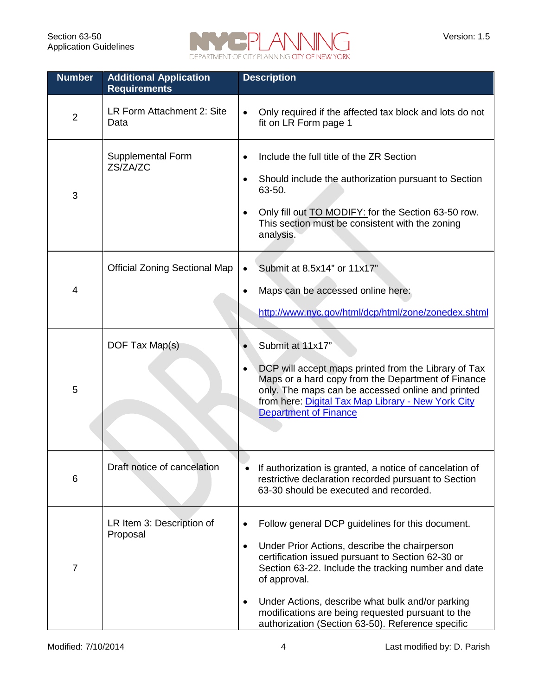

| <b>Number</b>  | <b>Additional Application</b><br><b>Requirements</b> | <b>Description</b>                                                                                                                                                                                                                                                                                                                                                                                       |  |  |
|----------------|------------------------------------------------------|----------------------------------------------------------------------------------------------------------------------------------------------------------------------------------------------------------------------------------------------------------------------------------------------------------------------------------------------------------------------------------------------------------|--|--|
| $\overline{2}$ | LR Form Attachment 2: Site<br>Data                   | Only required if the affected tax block and lots do not<br>$\bullet$<br>fit on LR Form page 1                                                                                                                                                                                                                                                                                                            |  |  |
| 3              | <b>Supplemental Form</b><br>ZS/ZA/ZC                 | Include the full title of the ZR Section<br>Should include the authorization pursuant to Section<br>63-50.<br>Only fill out <b>TO MODIFY:</b> for the Section 63-50 row.<br>This section must be consistent with the zoning<br>analysis.                                                                                                                                                                 |  |  |
| 4              | <b>Official Zoning Sectional Map</b>                 | Submit at 8.5x14" or 11x17"<br>Maps can be accessed online here:<br>http://www.nyc.gov/html/dcp/html/zone/zonedex.shtml                                                                                                                                                                                                                                                                                  |  |  |
| 5              | DOF Tax Map(s)                                       | Submit at 11x17"<br>DCP will accept maps printed from the Library of Tax<br>Maps or a hard copy from the Department of Finance<br>only. The maps can be accessed online and printed<br>from here: Digital Tax Map Library - New York City<br><b>Department of Finance</b>                                                                                                                                |  |  |
| 6              | Draft notice of cancelation                          | If authorization is granted, a notice of cancelation of<br>restrictive declaration recorded pursuant to Section<br>63-30 should be executed and recorded.                                                                                                                                                                                                                                                |  |  |
| 7              | LR Item 3: Description of<br>Proposal                | Follow general DCP guidelines for this document.<br>Under Prior Actions, describe the chairperson<br>$\bullet$<br>certification issued pursuant to Section 62-30 or<br>Section 63-22. Include the tracking number and date<br>of approval.<br>Under Actions, describe what bulk and/or parking<br>modifications are being requested pursuant to the<br>authorization (Section 63-50). Reference specific |  |  |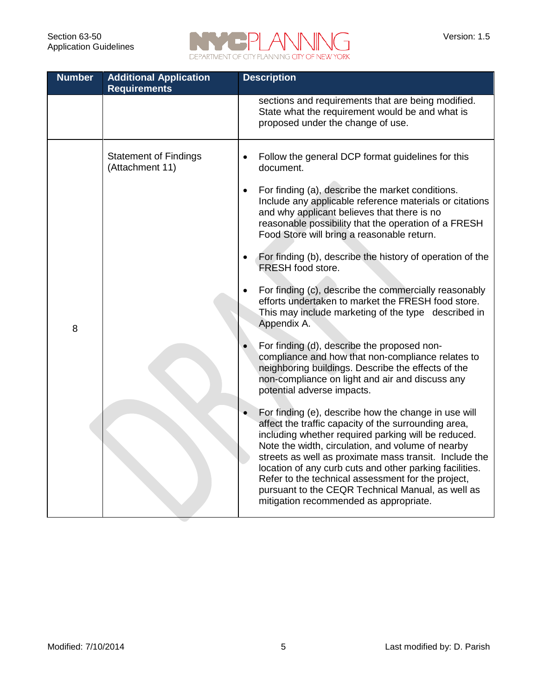

| <b>Number</b> | <b>Additional Application</b><br><b>Requirements</b> | <b>Description</b>                                                                                                                                                                                                                                                                                                                                                                                                                                                                                 |  |  |
|---------------|------------------------------------------------------|----------------------------------------------------------------------------------------------------------------------------------------------------------------------------------------------------------------------------------------------------------------------------------------------------------------------------------------------------------------------------------------------------------------------------------------------------------------------------------------------------|--|--|
|               |                                                      | sections and requirements that are being modified.<br>State what the requirement would be and what is<br>proposed under the change of use.                                                                                                                                                                                                                                                                                                                                                         |  |  |
|               | <b>Statement of Findings</b><br>(Attachment 11)      | Follow the general DCP format guidelines for this<br>document.<br>For finding (a), describe the market conditions.<br>$\bullet$<br>Include any applicable reference materials or citations<br>and why applicant believes that there is no                                                                                                                                                                                                                                                          |  |  |
|               |                                                      | reasonable possibility that the operation of a FRESH<br>Food Store will bring a reasonable return.<br>For finding (b), describe the history of operation of the<br>FRESH food store.                                                                                                                                                                                                                                                                                                               |  |  |
| 8             |                                                      | For finding (c), describe the commercially reasonably<br>efforts undertaken to market the FRESH food store.<br>This may include marketing of the type described in<br>Appendix A.                                                                                                                                                                                                                                                                                                                  |  |  |
|               |                                                      | For finding (d), describe the proposed non-<br>compliance and how that non-compliance relates to<br>neighboring buildings. Describe the effects of the<br>non-compliance on light and air and discuss any<br>potential adverse impacts.                                                                                                                                                                                                                                                            |  |  |
|               |                                                      | For finding (e), describe how the change in use will<br>affect the traffic capacity of the surrounding area,<br>including whether required parking will be reduced.<br>Note the width, circulation, and volume of nearby<br>streets as well as proximate mass transit. Include the<br>location of any curb cuts and other parking facilities.<br>Refer to the technical assessment for the project,<br>pursuant to the CEQR Technical Manual, as well as<br>mitigation recommended as appropriate. |  |  |
|               |                                                      |                                                                                                                                                                                                                                                                                                                                                                                                                                                                                                    |  |  |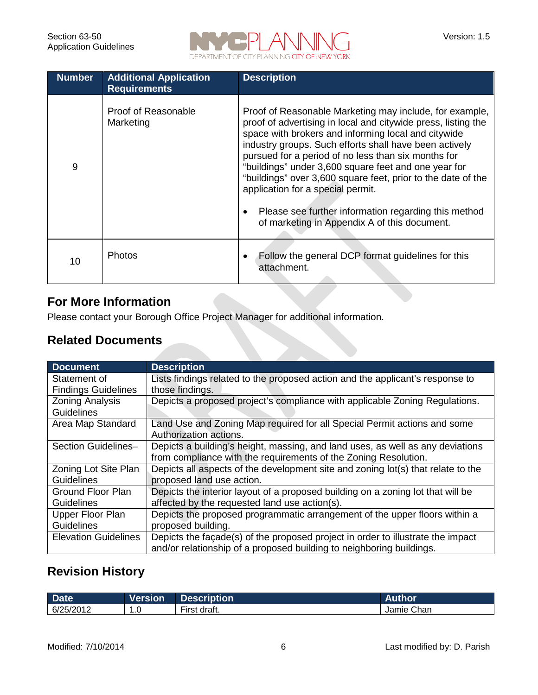

| <b>Number</b> | <b>Additional Application</b><br><b>Requirements</b> | <b>Description</b>                                                                                                                                                                                                                                                                                                                                                                                                                                                                                                                                                    |
|---------------|------------------------------------------------------|-----------------------------------------------------------------------------------------------------------------------------------------------------------------------------------------------------------------------------------------------------------------------------------------------------------------------------------------------------------------------------------------------------------------------------------------------------------------------------------------------------------------------------------------------------------------------|
| 9             | Proof of Reasonable<br>Marketing                     | Proof of Reasonable Marketing may include, for example,<br>proof of advertising in local and citywide press, listing the<br>space with brokers and informing local and citywide<br>industry groups. Such efforts shall have been actively<br>pursued for a period of no less than six months for<br>"buildings" under 3,600 square feet and one year for<br>"buildings" over 3,600 square feet, prior to the date of the<br>application for a special permit.<br>Please see further information regarding this method<br>of marketing in Appendix A of this document. |
| 10            | <b>Photos</b>                                        | Follow the general DCP format guidelines for this<br>attachment.                                                                                                                                                                                                                                                                                                                                                                                                                                                                                                      |

### **For More Information**

Please contact your Borough Office Project Manager for additional information.

#### **Related Documents**

| Document                    | <b>Description</b>                                                               |
|-----------------------------|----------------------------------------------------------------------------------|
| Statement of                | Lists findings related to the proposed action and the applicant's response to    |
| <b>Findings Guidelines</b>  | those findings.                                                                  |
| <b>Zoning Analysis</b>      | Depicts a proposed project's compliance with applicable Zoning Regulations.      |
| <b>Guidelines</b>           |                                                                                  |
| Area Map Standard           | Land Use and Zoning Map required for all Special Permit actions and some         |
|                             | Authorization actions.                                                           |
| Section Guidelines-         | Depicts a building's height, massing, and land uses, as well as any deviations   |
|                             | from compliance with the requirements of the Zoning Resolution.                  |
| Zoning Lot Site Plan        | Depicts all aspects of the development site and zoning lot(s) that relate to the |
| <b>Guidelines</b>           | proposed land use action.                                                        |
| Ground Floor Plan           | Depicts the interior layout of a proposed building on a zoning lot that will be  |
| <b>Guidelines</b>           | affected by the requested land use action(s).                                    |
| Upper Floor Plan            | Depicts the proposed programmatic arrangement of the upper floors within a       |
| <b>Guidelines</b>           | proposed building.                                                               |
| <b>Elevation Guidelines</b> | Depicts the facade(s) of the proposed project in order to illustrate the impact  |
|                             | and/or relationship of a proposed building to neighboring buildings.             |

## **Revision History**

| <b>Date</b> | Version | Description <sup>1</sup> |               |
|-------------|---------|--------------------------|---------------|
| 6/25/2012   | . . U   | --<br>draft.<br>∙ırst    | Chan<br>Jamie |